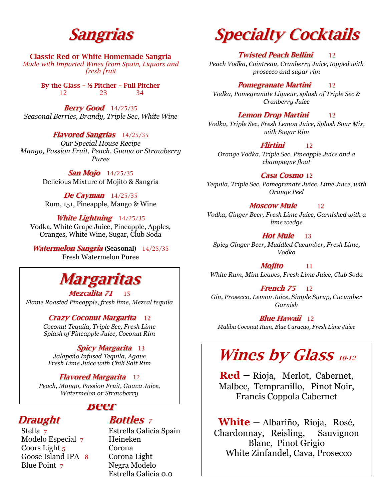# **Sangrias**

**Classic Red or White Homemade Sangria**  *Made with Imported Wines from Spain, Liquors and fresh fruit* 

> **By the Glass – ½ Pitcher – Full Pitcher** 12 23 34

**Berry Good** 14/25/35 *Seasonal Berries, Brandy, Triple Sec, White Wine*

#### **Flavored Sangrias** 14/25/35

*Our Special House Recipe Mango, Passion Fruit, Peach, Guava or Strawberry Puree*

> **San Mojo** 14/25/35 Delicious Mixture of Mojito & Sangria

**De Cayman** 14/25/35 Rum, 151, Pineapple, Mango & Wine

**White Lightning** 14/25/35 Vodka, White Grape Juice, Pineapple, Apples, Oranges, White Wine, Sugar, Club Soda

**Watermelon Sangria (Seasonal)** 14/25/35 Fresh Watermelon Puree

# **Margaritas**

**Mezcalita 71** 15 *Flame Roasted Pineapple, fresh lime, Mezcal tequila*

#### **Crazy Coconut Margarita** 12

*Coconut Tequila, Triple Sec, Fresh Lime Splash of Pineapple Juice, Coconut Rim*

**Spicy Margarita** 13 *Jalapeño Infused Tequila, Agave Fresh Lime Juice with Chili Salt Rim*

#### **Flavored Margarita** 12

*Peach, Mango, Passion Fruit, Guava Juice, Watermelon or Strawberry*

### **Beer**

 Modelo Especial 7 Heineken  Coors Light 5 Corona Goose Island IPA 8 Corona Light Blue Point 7 Negra Modelo

### *Bottles z*

 Stella 7 Estrella Galicia Spain Estrella Galicia 0.0

# **Specialty Cocktails**

#### **Twisted Peach Bellini** 12

*Peach Vodka, Cointreau, Cranberry Juice, topped with prosecco and sugar rim*

#### **Pomegranate Martini** 12

*Vodka, Pomegranate Liqueur, splash of Triple Sec & Cranberry Juice*

#### **Lemon Drop Martini** 12

*Vodka, Triple Sec, Fresh Lemon Juice, Splash Sour Mix, with Sugar Rim*

#### **Flirtini** 12

*Orange Vodka, Triple Sec, Pineapple Juice and a champagne float*

#### **Casa Cosmo** 12

*Tequila, Triple Sec, Pomegranate Juice, Lime Juice, with Orange Peel*

#### **Moscow Mule** 12

*Vodka, Ginger Beer, Fresh Lime Juice, Garnished with a lime wedge*

**Hot Mule** 13 *Spicy Ginger Beer, Muddled Cucumber, Fresh Lime, Vodka*

**Mojito** 11 *White Rum, Mint Leaves, Fresh Lime Juice, Club Soda*

#### **French 75** 12

*Gin, Prosecco, Lemon Juice, Simple Syrup, Cucumber Garnish*

**Blue Hawaii** 12 *Malibu Coconut Rum, Blue Curacao, Fresh Lime Juice*

# **Wines by Glass 10-12**

**Red** – Rioja, Merlot, Cabernet, Malbec, Tempranillo, Pinot Noir, Francis Coppola Cabernet

**White** – Albariño, Rioja, Rosé, Chardonnay, Reisling, Sauvignon Blanc, Pinot Grigio White Zinfandel, Cava, Prosecco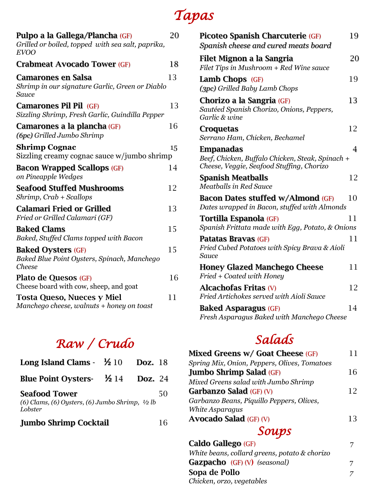# *Tapas*

| Pulpo a la Gallega/Plancha (GF)<br>Grilled or boiled, topped with sea salt, paprika,<br><b>EVOO</b> | 20 |
|-----------------------------------------------------------------------------------------------------|----|
| <b>Crabmeat Avocado Tower (GF)</b>                                                                  | 18 |
| Camarones en Salsa<br>Shrimp in our signature Garlic, Green or Diablo<br>Sauce                      | 13 |
| <b>Camarones Pil Pil (GF)</b><br>Sizzling Shrimp, Fresh Garlic, Guindilla Pepper                    | 13 |
| Camarones a la plancha (GF)<br>(6pc) Grilled Jumbo Shrimp                                           | 16 |
| <b>Shrimp Cognac</b><br>Sizzling creamy cognac sauce w/jumbo shrimp                                 | 15 |
| <b>Bacon Wrapped Scallops (GF)</b><br>on Pineapple Wedges                                           | 14 |
| <b>Seafood Stuffed Mushrooms</b><br>$Shrimp, Crab + Scallops$                                       | 12 |
| <b>Calamari Fried or Grilled</b><br>Fried or Grilled Calamari (GF)                                  | 13 |
| <b>Baked Clams</b><br>Baked, Stuffed Clams topped with Bacon                                        | 15 |
| <b>Baked Oysters (GF)</b><br>Baked Blue Point Oysters, Spinach, Manchego<br>Cheese                  | 15 |
| Plato de Quesos (GF)<br>Cheese board with cow, sheep, and goat                                      | 16 |
| <b>Tosta Queso, Nueces y Miel</b><br>Manchego cheese, walnuts + honey on toast                      | 11 |

### *Raw / Crudo*

| Long Island Clams $ \frac{1}{2}$ 10                                                           | <b>Doz.</b> 18 |    |
|-----------------------------------------------------------------------------------------------|----------------|----|
| Blue Point Oysters- $\frac{1}{2}$ 14                                                          | <b>Doz.</b> 24 |    |
| <b>Seafood Tower</b><br>(6) Clams, (6) Oysters, (6) Jumbo Shrimp, $\frac{1}{2}$ lb<br>Lobster |                | 50 |
| <b>Jumbo Shrimp Cocktail</b>                                                                  |                | 16 |

| Picoteo Spanish Charcuterie (GF)<br>Spanish cheese and cured meats board                                   | 19 |
|------------------------------------------------------------------------------------------------------------|----|
| Filet Mignon a la Sangria<br>Filet Tips in Mushroom + Red Wine sauce                                       | 20 |
| Lamb Chops $(GF)$<br>(3pc) Grilled Baby Lamb Chops                                                         | 19 |
| Chorizo a la Sangria (GF)<br>Sautéed Spanish Chorizo, Onions, Peppers,<br>Garlic & wine                    | 13 |
| Croquetas<br>Serrano Ham, Chicken, Bechamel                                                                | 12 |
| Empanadas<br>Beef, Chicken, Buffalo Chicken, Steak, Spinach +<br>Cheese, Veggie, Seafood Stuffing, Chorizo | 4  |
| <b>Spanish Meatballs</b><br><b>Meatballs in Red Sauce</b>                                                  | 12 |
| Bacon Dates stuffed w/Almond (GF)<br>Dates wrapped in Bacon, stuffed with Almonds                          | 10 |
| Tortilla Espanola (GF)<br>Spanish Frittata made with Egg, Potato, & Onions                                 | 11 |
| Patatas Bravas (GF)<br>Fried Cubed Potatoes with Spicy Brava & Aioli<br>Sauce                              | 11 |
| <b>Honey Glazed Manchego Cheese</b><br>Fried + Coated with Honey                                           | 11 |
| <b>Alcachofas Fritas (V)</b><br>Fried Artichokes served with Aioli Sauce                                   | 12 |
| <b>Baked Asparagus (GF)</b>                                                                                | 14 |

*Fresh Asparagus Baked with Manchego Cheese*

### *Salads*

| Mixed Greens w/ Goat Cheese (GF)             | 11 |
|----------------------------------------------|----|
| Spring Mix, Onion, Peppers, Olives, Tomatoes |    |
| <b>Jumbo Shrimp Salad (GF)</b>               | 16 |
| Mixed Greens salad with Jumbo Shrimp         |    |
| <b>Garbanzo Salad</b> (GF) (V)               | 12 |
| Garbanzo Beans, Piquillo Peppers, Olives,    |    |
| White Asparagus                              |    |
| <b>Avocado Salad (GF) (V)</b>                | 13 |
| Soups                                        |    |

| Caldo Gallego (GF)                            |  |
|-----------------------------------------------|--|
| White beans, collard greens, potato & chorizo |  |
| <b>Gazpacho</b> (GF) (V) (seasonal)           |  |
| Sopa de Pollo                                 |  |
| Chicken, orzo, vegetables                     |  |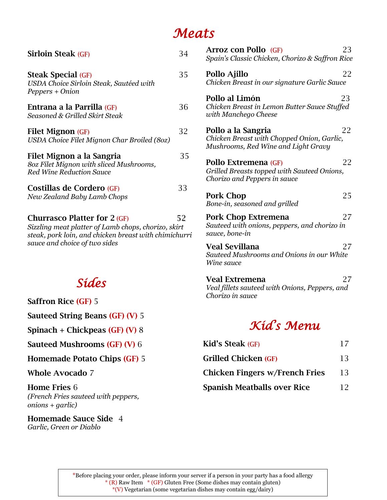### *Meats*

| <b>Sirloin Steak (GF)</b>                                                                                                                                                            | 34 |
|--------------------------------------------------------------------------------------------------------------------------------------------------------------------------------------|----|
| <b>Steak Special (GF)</b><br>USDA Choice Sirloin Steak, Sautéed with<br>Peppers + Onion                                                                                              | 35 |
| Entrana a la Parrilla (GF)<br>Seasoned & Grilled Skirt Steak                                                                                                                         | 36 |
| <b>Filet Mignon (GF)</b><br>USDA Choice Filet Mignon Char Broiled (80z)                                                                                                              | 32 |
| Filet Mignon a la Sangria<br>80z Filet Mignon with sliced Mushrooms,<br><b>Red Wine Reduction Sauce</b>                                                                              | 35 |
| Costillas de Cordero (GF)<br>New Zealand Baby Lamb Chops                                                                                                                             | 33 |
| <b>Churrasco Platter for 2 (GF)</b><br>Sizzling meat platter of Lamb chops, chorizo, skirt<br>steak, pork loin, and chicken breast with chimichurri<br>sauce and choice of two sides | 52 |

### *Sides*

| <b>Saffron Rice (GF) 5</b> |  |  |
|----------------------------|--|--|
|                            |  |  |

**Sauteed String Beans (GF) (V)** 5

**Spinach + Chickpeas (GF) (V)** 8

**Sauteed Mushrooms (GF) (V)** 6

**Homemade Potato Chips (GF)** 5

**Whole Avocado** 7

**Home Fries** 6 *(French Fries sauteed with peppers, onions + garlic)*

**Homemade Sauce Side** 4 *Garlic, Green or Diablo*

| Arroz con Pollo (GF)<br>23<br>Spain's Classic Chicken, Chorizo & Saffron Rice                                 |
|---------------------------------------------------------------------------------------------------------------|
| Pollo Ajillo<br>22<br>Chicken Breast in our signature Garlic Sauce                                            |
| Pollo al Limón<br>23<br>Chicken Breast in Lemon Butter Sauce Stuffed<br>with Manchego Cheese                  |
| 22<br>Pollo a la Sangria<br>Chicken Breast with Chopped Onion, Garlic,<br>Mushrooms, Red Wine and Light Gravy |
| 22<br>Pollo Extremena (GF)<br>Grilled Breasts topped with Sauteed Onions,<br>Chorizo and Peppers in sauce     |
| <b>Pork Chop</b><br>25<br>Bone-in, seasoned and grilled                                                       |
| Pork Chop Extremena<br>27<br>Sauteed with onions, peppers, and chorizo in<br>sauce, bone-in                   |
| <b>Veal Sevillana</b><br>27<br>Sauteed Mushrooms and Onions in our White<br>Wine sauce                        |
| <b>Veal Extremena</b><br>27<br>Veal fillets sauteed with Onions, Peppers, and<br>Chorizo in sauce             |
| Kíďs Menu                                                                                                     |

| <b>Kid's Steak (GF)</b>               | 17 |
|---------------------------------------|----|
| <b>Grilled Chicken (GF)</b>           | 13 |
| <b>Chicken Fingers w/French Fries</b> | 13 |
| <b>Spanish Meatballs over Rice</b>    | 12 |

\*Before placing your order, please inform your server if a person in your party has a food allergy \* (R) Raw Item \* (GF) Gluten Free (Some dishes may contain gluten) \*(V) Vegetarian (some vegetarian dishes may contain egg/dairy)